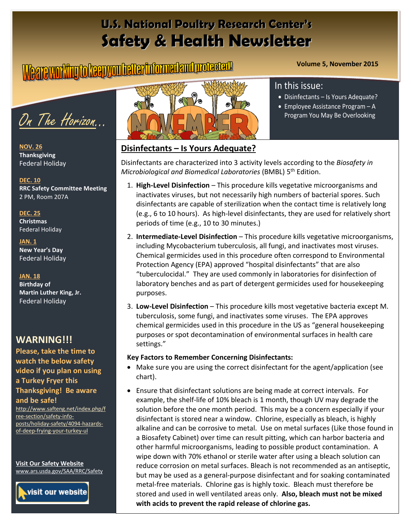# **U.S. National Poultry Research Center's Safety & Health Newsletter**

# **Volume 5, November 2015**

On The Horizon…

**NOV. 26 Thanksgiving** Federal Holiday

**DEC. 10 RRC Safety Committee Meeting** 2 PM, Room 207A

**DEC. 25 Christmas**  Federal Holiday

**JAN. 1 New Year's Day** Federal Holiday

#### **JAN. 18**

**Birthday of Martin Luther King, Jr.**  Federal Holiday

### **WARNING!!!**

**Please, take the time to watch the below safety video if you plan on using a Turkey Fryer this Thanksgiving! Be aware and be safe!**

[http://www.safteng.net/index.php/f](http://www.safteng.net/index.php/free-section/safety-info-posts/holiday-safety/4094-hazards-of-deep-frying-your-turkey-ul) [ree-section/safety-info](http://www.safteng.net/index.php/free-section/safety-info-posts/holiday-safety/4094-hazards-of-deep-frying-your-turkey-ul)[posts/holiday-safety/4094-hazards](http://www.safteng.net/index.php/free-section/safety-info-posts/holiday-safety/4094-hazards-of-deep-frying-your-turkey-ul)[of-deep-frying-your-turkey-ul](http://www.safteng.net/index.php/free-section/safety-info-posts/holiday-safety/4094-hazards-of-deep-frying-your-turkey-ul)

**Visit Our Safety Website**  [www.ars.usda.gov/SAA/RRC/Safety](http://www.ars.usda.gov/SAA/RRC/Safety)





#### **Disinfectants – Is Yours Adequate?**

Disinfectants are characterized into 3 activity levels according to the *Biosafety in Microbiological and Biomedical Laboratories* (BMBL) 5th Edition.

- 1. **High-Level Disinfection** This procedure kills vegetative microorganisms and inactivates viruses, but not necessarily high numbers of bacterial spores. Such disinfectants are capable of sterilization when the contact time is relatively long (e.g., 6 to 10 hours). As high-level disinfectants, they are used for relatively short periods of time (e.g., 10 to 30 minutes.)
- 2. **Intermediate-Level Disinfection** This procedure kills vegetative microorganisms, including Mycobacterium tuberculosis, all fungi, and inactivates most viruses. Chemical germicides used in this procedure often correspond to Environmental Protection Agency (EPA) approved "hospital disinfectants" that are also "tuberculocidal." They are used commonly in laboratories for disinfection of laboratory benches and as part of detergent germicides used for housekeeping purposes.
- 3. **Low-Level Disinfection** This procedure kills most vegetative bacteria except M. tuberculosis, some fungi, and inactivates some viruses. The EPA approves chemical germicides used in this procedure in the US as "general housekeeping purposes or spot decontamination of environmental surfaces in health care settings."

#### **Key Factors to Remember Concerning Disinfectants:**

- Make sure you are using the correct disinfectant for the agent/application (see chart).
- Ensure that disinfectant solutions are being made at correct intervals. For example, the shelf-life of 10% bleach is 1 month, though UV may degrade the solution before the one month period. This may be a concern especially if your disinfectant is stored near a window. Chlorine, especially as bleach, is highly alkaline and can be corrosive to metal. Use on metal surfaces (Like those found in a Biosafety Cabinet) over time can result pitting, which can harbor bacteria and other harmful microorganisms, leading to possible product contamination. A wipe down with 70% ethanol or sterile water after using a bleach solution can reduce corrosion on metal surfaces. Bleach is not recommended as an antiseptic, but may be used as a general-purpose disinfectant and for soaking contaminated metal-free materials. Chlorine gas is highly toxic. Bleach must therefore be stored and used in well ventilated areas only. **Also, bleach must not be mixed with acids to prevent the rapid release of chlorine gas.**

#### In this issue:

- Disinfectants Is Yours Adequate?
- Employee Assistance Program A Program You May Be Overlooking